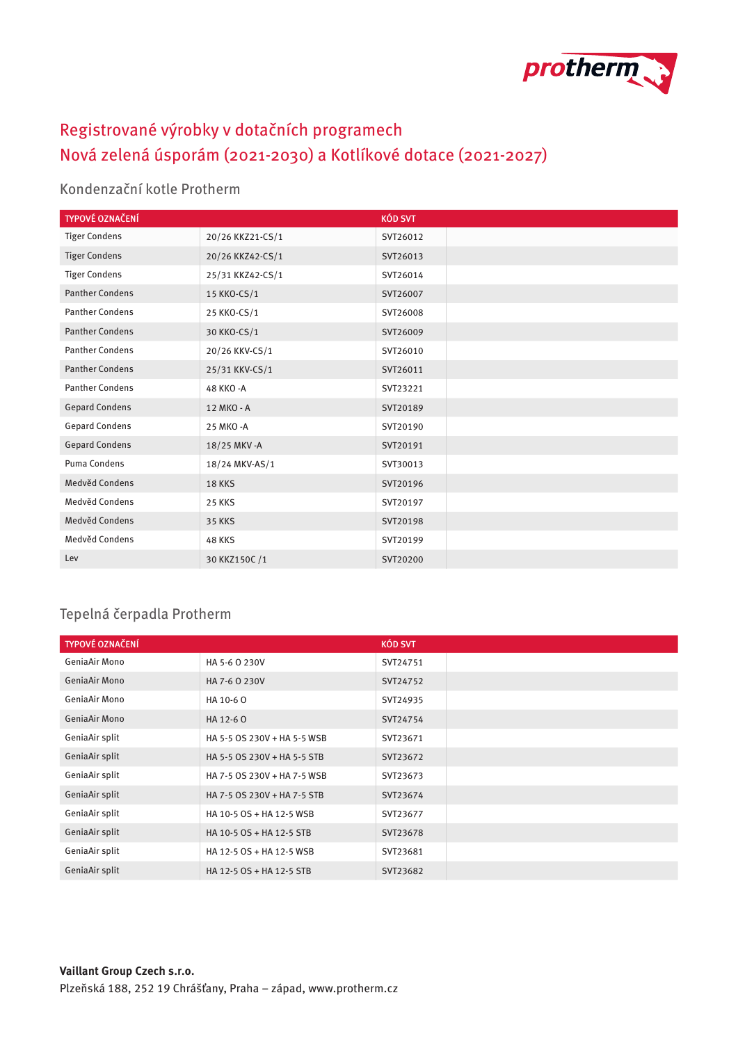

## Registrované výrobky v dotačních programech Nová zelená úsporám (2021-2030) a Kotlíkové dotace (2021-2027)

## Kondenzační kotle Protherm

| TYPOVÉ OZNAČENÍ        |                  | <b>KÓD SVT</b> |
|------------------------|------------------|----------------|
| <b>Tiger Condens</b>   | 20/26 KKZ21-CS/1 | SVT26012       |
| <b>Tiger Condens</b>   | 20/26 KKZ42-CS/1 | SVT26013       |
| <b>Tiger Condens</b>   | 25/31 KKZ42-CS/1 | SVT26014       |
| <b>Panther Condens</b> | 15 KKO-CS/1      | SVT26007       |
| <b>Panther Condens</b> | 25 KKO-CS/1      | SVT26008       |
| <b>Panther Condens</b> | 30 KKO-CS/1      | SVT26009       |
| <b>Panther Condens</b> | 20/26 KKV-CS/1   | SVT26010       |
| <b>Panther Condens</b> | 25/31 KKV-CS/1   | SVT26011       |
| <b>Panther Condens</b> | 48 KKO - A       | SVT23221       |
| <b>Gepard Condens</b>  | 12 MKO - A       | SVT20189       |
| <b>Gepard Condens</b>  | 25 MKO - A       | SVT20190       |
| <b>Gepard Condens</b>  | 18/25 MKV - A    | SVT20191       |
| Puma Condens           | 18/24 MKV-AS/1   | SVT30013       |
| Medvěd Condens         | <b>18 KKS</b>    | SVT20196       |
| Medvěd Condens         | <b>25 KKS</b>    | SVT20197       |
| Medvěd Condens         | <b>35 KKS</b>    | SVT20198       |
| Medvěd Condens         | <b>48 KKS</b>    | SVT20199       |
| Lev                    | 30 KKZ150C/1     | SVT20200       |

## Tepelná čerpadla Protherm

| <b>TYPOVÉ OZNAČENÍ</b> |                             | <b>KÓD SVT</b> |
|------------------------|-----------------------------|----------------|
| GeniaAir Mono          | HA 5-6 0 230V               | SVT24751       |
| <b>GeniaAir Mono</b>   | HA 7-6 0 230V               | SVT24752       |
| GeniaAir Mono          | HA 10-60                    | SVT24935       |
| <b>GeniaAir Mono</b>   | HA 12-60                    | SVT24754       |
| GeniaAir split         | HA 5-5 OS 230V + HA 5-5 WSB | SVT23671       |
| GeniaAir split         | HA 5-5 OS 230V + HA 5-5 STB | SVT23672       |
| GeniaAir split         | HA 7-5 OS 230V + HA 7-5 WSB | SVT23673       |
| GeniaAir split         | HA 7-5 OS 230V + HA 7-5 STB | SVT23674       |
| GeniaAir split         | HA 10-5 OS + HA 12-5 WSB    | SVT23677       |
| GeniaAir split         | HA 10-5 OS + HA 12-5 STB    | SVT23678       |
| GeniaAir split         | HA 12-5 OS + HA 12-5 WSB    | SVT23681       |
| GeniaAir split         | HA 12-5 OS + HA 12-5 STB    | SVT23682       |